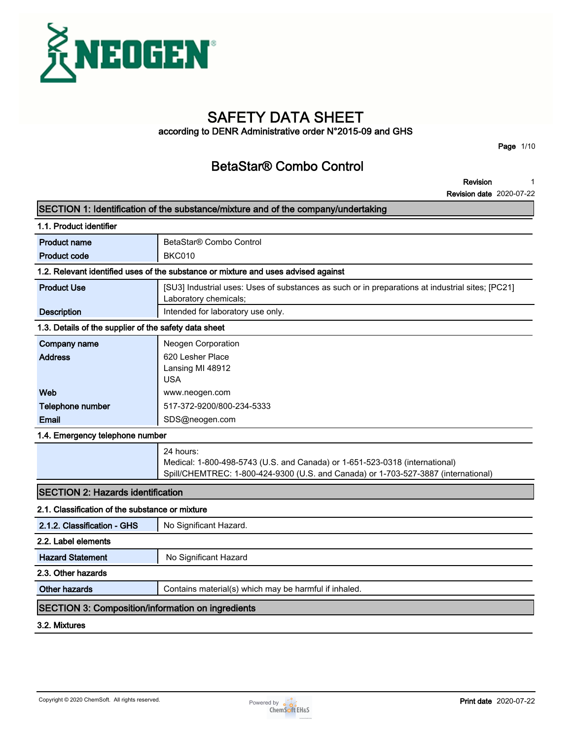

# **SAFETY DATA SHEET**

**according to DENR Administrative order N°2015-09 and GHS**

**Page 1/10**

# **BetaStar® Combo Control**

**Revision 1**

| SECTION 1: Identification of the substance/mixture and of the company/undertaking  |                                                                                                                                                                                |  |  |  |
|------------------------------------------------------------------------------------|--------------------------------------------------------------------------------------------------------------------------------------------------------------------------------|--|--|--|
| 1.1. Product identifier                                                            |                                                                                                                                                                                |  |  |  |
| <b>Product name</b>                                                                | BetaStar® Combo Control                                                                                                                                                        |  |  |  |
| <b>Product code</b>                                                                | <b>BKC010</b>                                                                                                                                                                  |  |  |  |
| 1.2. Relevant identified uses of the substance or mixture and uses advised against |                                                                                                                                                                                |  |  |  |
| <b>Product Use</b>                                                                 | [SU3] Industrial uses: Uses of substances as such or in preparations at industrial sites; [PC21]<br>Laboratory chemicals;                                                      |  |  |  |
| <b>Description</b>                                                                 | Intended for laboratory use only.                                                                                                                                              |  |  |  |
| 1.3. Details of the supplier of the safety data sheet                              |                                                                                                                                                                                |  |  |  |
| Company name                                                                       | Neogen Corporation                                                                                                                                                             |  |  |  |
| <b>Address</b>                                                                     | 620 Lesher Place<br>Lansing MI 48912<br><b>USA</b>                                                                                                                             |  |  |  |
| Web                                                                                | www.neogen.com                                                                                                                                                                 |  |  |  |
| Telephone number                                                                   | 517-372-9200/800-234-5333                                                                                                                                                      |  |  |  |
| Email                                                                              | SDS@neogen.com                                                                                                                                                                 |  |  |  |
| 1.4. Emergency telephone number                                                    |                                                                                                                                                                                |  |  |  |
|                                                                                    | 24 hours:<br>Medical: 1-800-498-5743 (U.S. and Canada) or 1-651-523-0318 (international)<br>Spill/CHEMTREC: 1-800-424-9300 (U.S. and Canada) or 1-703-527-3887 (international) |  |  |  |
| <b>SECTION 2: Hazards identification</b>                                           |                                                                                                                                                                                |  |  |  |
| 2.1. Classification of the substance or mixture                                    |                                                                                                                                                                                |  |  |  |
| 2.1.2. Classification - GHS                                                        | No Significant Hazard.                                                                                                                                                         |  |  |  |
| 2.2. Label elements                                                                |                                                                                                                                                                                |  |  |  |
| <b>Hazard Statement</b>                                                            | No Significant Hazard                                                                                                                                                          |  |  |  |
| 2.3. Other hazards                                                                 |                                                                                                                                                                                |  |  |  |
| <b>Other hazards</b>                                                               | Contains material(s) which may be harmful if inhaled.                                                                                                                          |  |  |  |
| <b>SECTION 3: Composition/information on ingredients</b>                           |                                                                                                                                                                                |  |  |  |
| 3.2. Mixtures                                                                      |                                                                                                                                                                                |  |  |  |

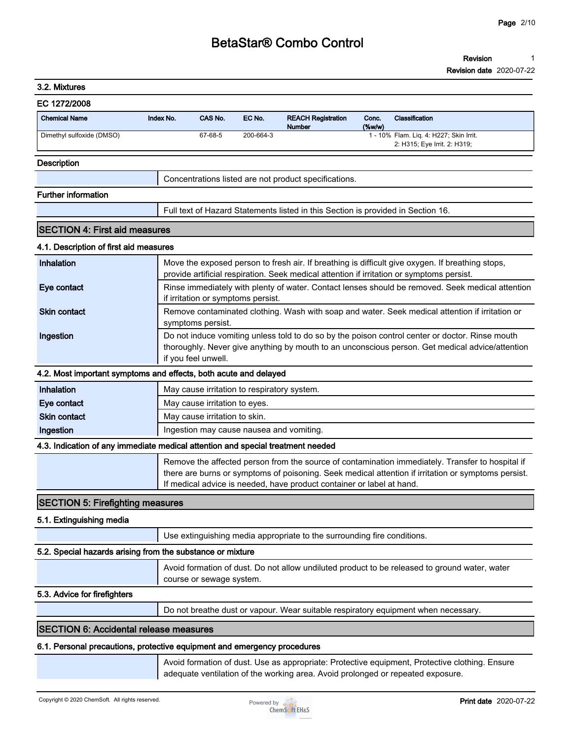#### **Revision 1**

| 3.2. Mixtures                                                                   |           |                                             |           |                                                                                  |                 |                                                                                                                                                                                                         |
|---------------------------------------------------------------------------------|-----------|---------------------------------------------|-----------|----------------------------------------------------------------------------------|-----------------|---------------------------------------------------------------------------------------------------------------------------------------------------------------------------------------------------------|
| EC 1272/2008                                                                    |           |                                             |           |                                                                                  |                 |                                                                                                                                                                                                         |
| <b>Chemical Name</b>                                                            | Index No. | CAS No.                                     | EC No.    | <b>REACH Registration</b><br>Number                                              | Conc.<br>(%w/w) | Classification                                                                                                                                                                                          |
| Dimethyl sulfoxide (DMSO)                                                       |           | 67-68-5                                     | 200-664-3 |                                                                                  |                 | 1 - 10% Flam. Liq. 4: H227; Skin Irrit.<br>2: H315; Eye Irrit. 2: H319;                                                                                                                                 |
| <b>Description</b>                                                              |           |                                             |           |                                                                                  |                 |                                                                                                                                                                                                         |
|                                                                                 |           |                                             |           | Concentrations listed are not product specifications.                            |                 |                                                                                                                                                                                                         |
| <b>Further information</b>                                                      |           |                                             |           |                                                                                  |                 |                                                                                                                                                                                                         |
|                                                                                 |           |                                             |           | Full text of Hazard Statements listed in this Section is provided in Section 16. |                 |                                                                                                                                                                                                         |
| <b>SECTION 4: First aid measures</b>                                            |           |                                             |           |                                                                                  |                 |                                                                                                                                                                                                         |
| 4.1. Description of first aid measures                                          |           |                                             |           |                                                                                  |                 |                                                                                                                                                                                                         |
| Inhalation                                                                      |           |                                             |           |                                                                                  |                 | Move the exposed person to fresh air. If breathing is difficult give oxygen. If breathing stops,                                                                                                        |
|                                                                                 |           |                                             |           |                                                                                  |                 | provide artificial respiration. Seek medical attention if irritation or symptoms persist.                                                                                                               |
| Eye contact                                                                     |           | if irritation or symptoms persist.          |           |                                                                                  |                 | Rinse immediately with plenty of water. Contact lenses should be removed. Seek medical attention                                                                                                        |
| <b>Skin contact</b>                                                             |           | symptoms persist.                           |           |                                                                                  |                 | Remove contaminated clothing. Wash with soap and water. Seek medical attention if irritation or                                                                                                         |
| Ingestion                                                                       |           |                                             |           |                                                                                  |                 | Do not induce vomiting unless told to do so by the poison control center or doctor. Rinse mouth<br>thoroughly. Never give anything by mouth to an unconscious person. Get medical advice/attention      |
|                                                                                 |           | if you feel unwell.                         |           |                                                                                  |                 |                                                                                                                                                                                                         |
| 4.2. Most important symptoms and effects, both acute and delayed                |           |                                             |           |                                                                                  |                 |                                                                                                                                                                                                         |
| Inhalation                                                                      |           | May cause irritation to respiratory system. |           |                                                                                  |                 |                                                                                                                                                                                                         |
| Eye contact                                                                     |           | May cause irritation to eyes.               |           |                                                                                  |                 |                                                                                                                                                                                                         |
| <b>Skin contact</b>                                                             |           | May cause irritation to skin.               |           |                                                                                  |                 |                                                                                                                                                                                                         |
| Ingestion                                                                       |           | Ingestion may cause nausea and vomiting.    |           |                                                                                  |                 |                                                                                                                                                                                                         |
| 4.3. Indication of any immediate medical attention and special treatment needed |           |                                             |           |                                                                                  |                 |                                                                                                                                                                                                         |
|                                                                                 |           |                                             |           | If medical advice is needed, have product container or label at hand.            |                 | Remove the affected person from the source of contamination immediately. Transfer to hospital if<br>there are burns or symptoms of poisoning. Seek medical attention if irritation or symptoms persist. |
| <b>SECTION 5: Firefighting measures</b>                                         |           |                                             |           |                                                                                  |                 |                                                                                                                                                                                                         |
| 5.1. Extinguishing media                                                        |           |                                             |           |                                                                                  |                 |                                                                                                                                                                                                         |
|                                                                                 |           |                                             |           | Use extinguishing media appropriate to the surrounding fire conditions.          |                 |                                                                                                                                                                                                         |
| 5.2. Special hazards arising from the substance or mixture                      |           |                                             |           |                                                                                  |                 |                                                                                                                                                                                                         |
|                                                                                 |           | course or sewage system.                    |           |                                                                                  |                 | Avoid formation of dust. Do not allow undiluted product to be released to ground water, water                                                                                                           |
| 5.3. Advice for firefighters                                                    |           |                                             |           |                                                                                  |                 |                                                                                                                                                                                                         |
|                                                                                 |           |                                             |           |                                                                                  |                 | Do not breathe dust or vapour. Wear suitable respiratory equipment when necessary.                                                                                                                      |
| <b>SECTION 6: Accidental release measures</b>                                   |           |                                             |           |                                                                                  |                 |                                                                                                                                                                                                         |
| 6.1. Personal precautions, protective equipment and emergency procedures        |           |                                             |           |                                                                                  |                 |                                                                                                                                                                                                         |
|                                                                                 |           |                                             |           |                                                                                  |                 | Avoid formation of dust. Use as appropriate: Protective equipment, Protective clothing. Ensure                                                                                                          |
|                                                                                 |           |                                             |           | adequate ventilation of the working area. Avoid prolonged or repeated exposure.  |                 |                                                                                                                                                                                                         |
|                                                                                 |           |                                             |           |                                                                                  |                 |                                                                                                                                                                                                         |

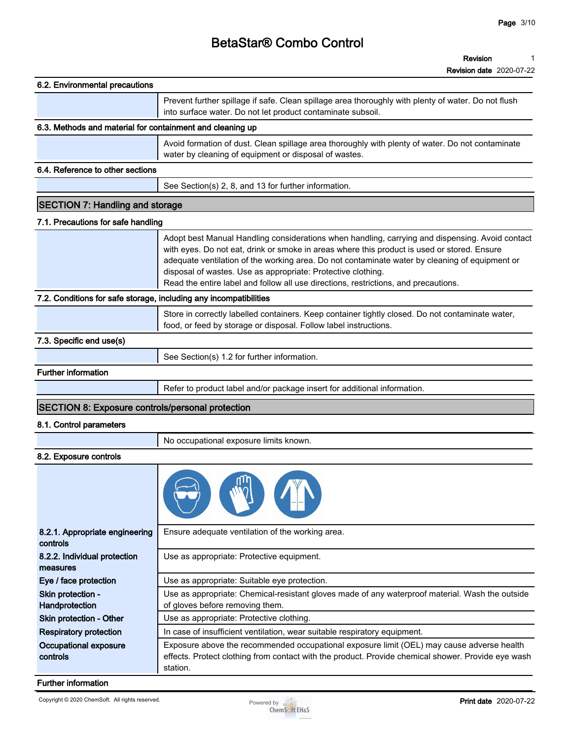|                                                                   | <b>Revision date</b> 2020-07-22                                                                                                                                                                                                                                                                                                                                                                                                                         |
|-------------------------------------------------------------------|---------------------------------------------------------------------------------------------------------------------------------------------------------------------------------------------------------------------------------------------------------------------------------------------------------------------------------------------------------------------------------------------------------------------------------------------------------|
| 6.2. Environmental precautions                                    |                                                                                                                                                                                                                                                                                                                                                                                                                                                         |
|                                                                   | Prevent further spillage if safe. Clean spillage area thoroughly with plenty of water. Do not flush<br>into surface water. Do not let product contaminate subsoil.                                                                                                                                                                                                                                                                                      |
| 6.3. Methods and material for containment and cleaning up         |                                                                                                                                                                                                                                                                                                                                                                                                                                                         |
|                                                                   | Avoid formation of dust. Clean spillage area thoroughly with plenty of water. Do not contaminate<br>water by cleaning of equipment or disposal of wastes.                                                                                                                                                                                                                                                                                               |
| 6.4. Reference to other sections                                  |                                                                                                                                                                                                                                                                                                                                                                                                                                                         |
|                                                                   | See Section(s) 2, 8, and 13 for further information.                                                                                                                                                                                                                                                                                                                                                                                                    |
| <b>SECTION 7: Handling and storage</b>                            |                                                                                                                                                                                                                                                                                                                                                                                                                                                         |
| 7.1. Precautions for safe handling                                |                                                                                                                                                                                                                                                                                                                                                                                                                                                         |
|                                                                   | Adopt best Manual Handling considerations when handling, carrying and dispensing. Avoid contact<br>with eyes. Do not eat, drink or smoke in areas where this product is used or stored. Ensure<br>adequate ventilation of the working area. Do not contaminate water by cleaning of equipment or<br>disposal of wastes. Use as appropriate: Protective clothing.<br>Read the entire label and follow all use directions, restrictions, and precautions. |
| 7.2. Conditions for safe storage, including any incompatibilities |                                                                                                                                                                                                                                                                                                                                                                                                                                                         |
|                                                                   | Store in correctly labelled containers. Keep container tightly closed. Do not contaminate water,<br>food, or feed by storage or disposal. Follow label instructions.                                                                                                                                                                                                                                                                                    |
| 7.3. Specific end use(s)                                          |                                                                                                                                                                                                                                                                                                                                                                                                                                                         |
|                                                                   | See Section(s) 1.2 for further information.                                                                                                                                                                                                                                                                                                                                                                                                             |
| <b>Further information</b>                                        |                                                                                                                                                                                                                                                                                                                                                                                                                                                         |
|                                                                   | Refer to product label and/or package insert for additional information.                                                                                                                                                                                                                                                                                                                                                                                |
| <b>SECTION 8: Exposure controls/personal protection</b>           |                                                                                                                                                                                                                                                                                                                                                                                                                                                         |
| 8.1. Control parameters                                           |                                                                                                                                                                                                                                                                                                                                                                                                                                                         |
|                                                                   | No occupational exposure limits known.                                                                                                                                                                                                                                                                                                                                                                                                                  |
| 8.2. Exposure controls                                            |                                                                                                                                                                                                                                                                                                                                                                                                                                                         |
|                                                                   |                                                                                                                                                                                                                                                                                                                                                                                                                                                         |
| 8.2.1. Appropriate engineering<br>controls                        | Ensure adequate ventilation of the working area.                                                                                                                                                                                                                                                                                                                                                                                                        |
| 8.2.2. Individual protection<br>measures                          | Use as appropriate: Protective equipment.                                                                                                                                                                                                                                                                                                                                                                                                               |
| Eye / face protection                                             | Use as appropriate: Suitable eye protection.                                                                                                                                                                                                                                                                                                                                                                                                            |

**Skin protection - Handprotection Use as appropriate: Chemical-resistant gloves made of any waterproof material. Wash the outside of gloves before removing them. Skin protection - Other Use as appropriate: Protective clothing. Respiratory protection In case of insufficient ventilation, wear suitable respiratory equipment. Occupational exposure controls Exposure above the recommended occupational exposure limit (OEL) may cause adverse health effects. Protect clothing from contact with the product. Provide chemical shower. Provide eye wash station.**

#### **Further information**

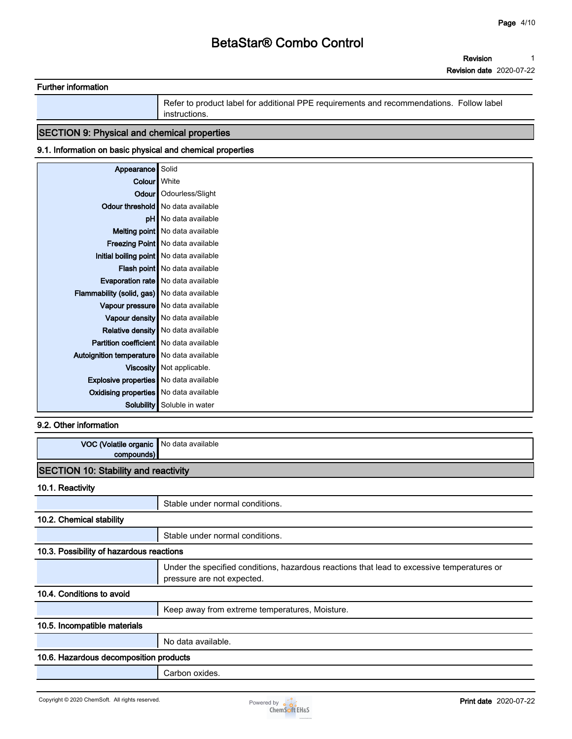**Revision 1**

**Revision date 2020-07-22**

| <b>Further information</b> |                                                                                                           |
|----------------------------|-----------------------------------------------------------------------------------------------------------|
|                            | Refer to product label for additional PPE requirements and recommendations. Follow label<br>instructions. |

## **SECTION 9: Physical and chemical properties**

### **9.1. Information on basic physical and chemical properties**

| Appearance Solid                               |                                           |
|------------------------------------------------|-------------------------------------------|
|                                                | Colour   White                            |
|                                                | Odour   Odourless/Slight                  |
|                                                | Odour threshold   No data available       |
|                                                | <b>pH</b> No data available               |
|                                                | Melting point   No data available         |
|                                                | <b>Freezing Point</b> No data available   |
|                                                | Initial boiling point   No data available |
|                                                | Flash point   No data available           |
|                                                | <b>Evaporation rate</b> No data available |
| Flammability (solid, gas) No data available    |                                           |
|                                                | Vapour pressure No data available         |
|                                                | Vapour density No data available          |
|                                                | Relative density   No data available      |
| <b>Partition coefficient</b> No data available |                                           |
| Autoignition temperature   No data available   |                                           |
|                                                | Viscosity   Not applicable.               |
| <b>Explosive properties</b> No data available  |                                           |
| Oxidising properties No data available         |                                           |
| Solubility                                     | Soluble in water                          |

#### **9.2. Other information**

| VOC (Volatile organic<br>compounds)         | No data available                                                                                                        |  |  |  |
|---------------------------------------------|--------------------------------------------------------------------------------------------------------------------------|--|--|--|
| <b>SECTION 10: Stability and reactivity</b> |                                                                                                                          |  |  |  |
| 10.1. Reactivity                            |                                                                                                                          |  |  |  |
|                                             | Stable under normal conditions.                                                                                          |  |  |  |
| 10.2. Chemical stability                    |                                                                                                                          |  |  |  |
|                                             | Stable under normal conditions.                                                                                          |  |  |  |
| 10.3. Possibility of hazardous reactions    |                                                                                                                          |  |  |  |
|                                             | Under the specified conditions, hazardous reactions that lead to excessive temperatures or<br>pressure are not expected. |  |  |  |
| 10.4. Conditions to avoid                   |                                                                                                                          |  |  |  |
|                                             | Keep away from extreme temperatures, Moisture.                                                                           |  |  |  |
| 10.5. Incompatible materials                |                                                                                                                          |  |  |  |
|                                             | No data available.                                                                                                       |  |  |  |
| 10.6. Hazardous decomposition products      |                                                                                                                          |  |  |  |
|                                             | Carbon oxides.                                                                                                           |  |  |  |

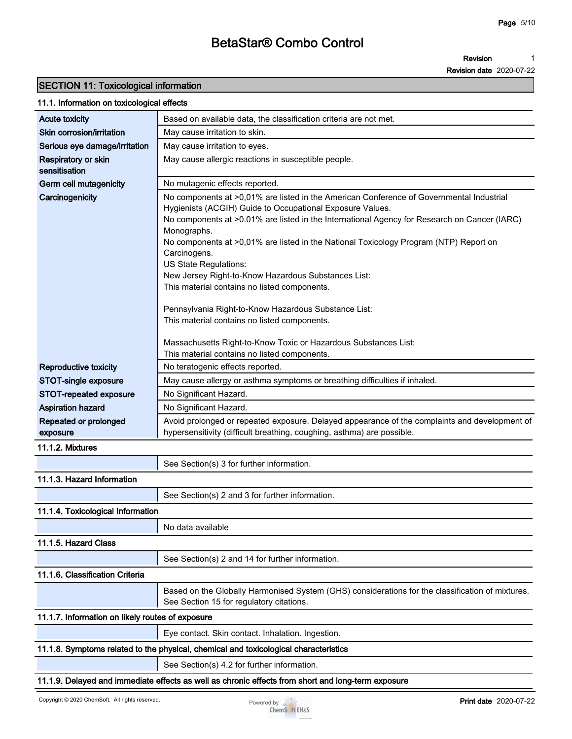**Revision 1**

**Revision date 2020-07-22**

## **SECTION 11: Toxicological information**

#### **11.1. Information on toxicological effects**

| Based on available data, the classification criteria are not met.<br>May cause irritation to skin.<br>May cause irritation to eyes.<br>May cause allergic reactions in susceptible people.<br>No mutagenic effects reported.<br>No components at >0,01% are listed in the American Conference of Governmental Industrial<br>Carcinogenicity<br>Hygienists (ACGIH) Guide to Occupational Exposure Values.<br>No components at >0.01% are listed in the International Agency for Research on Cancer (IARC)<br>Monographs.<br>No components at >0,01% are listed in the National Toxicology Program (NTP) Report on<br>Carcinogens.<br>US State Regulations:<br>New Jersey Right-to-Know Hazardous Substances List:<br>This material contains no listed components.<br>Pennsylvania Right-to-Know Hazardous Substance List:<br>This material contains no listed components.<br>Massachusetts Right-to-Know Toxic or Hazardous Substances List:<br>This material contains no listed components.<br>No teratogenic effects reported.<br>May cause allergy or asthma symptoms or breathing difficulties if inhaled.<br>No Significant Hazard.<br>No Significant Hazard.<br>Repeated or prolonged<br>Avoid prolonged or repeated exposure. Delayed appearance of the complaints and development of<br>hypersensitivity (difficult breathing, coughing, asthma) are possible.<br>exposure<br>11.1.2. Mixtures<br>See Section(s) 3 for further information.<br>11.1.3. Hazard Information<br>See Section(s) 2 and 3 for further information.<br>11.1.4. Toxicological Information<br>No data available<br>See Section(s) 2 and 14 for further information.<br>Based on the Globally Harmonised System (GHS) considerations for the classification of mixtures.<br>See Section 15 for regulatory citations.<br>11.1.7. Information on likely routes of exposure<br>Eye contact. Skin contact. Inhalation. Ingestion.<br>11.1.8. Symptoms related to the physical, chemical and toxicological characteristics<br>See Section(s) 4.2 for further information. |                                      |                                                                                                    |
|---------------------------------------------------------------------------------------------------------------------------------------------------------------------------------------------------------------------------------------------------------------------------------------------------------------------------------------------------------------------------------------------------------------------------------------------------------------------------------------------------------------------------------------------------------------------------------------------------------------------------------------------------------------------------------------------------------------------------------------------------------------------------------------------------------------------------------------------------------------------------------------------------------------------------------------------------------------------------------------------------------------------------------------------------------------------------------------------------------------------------------------------------------------------------------------------------------------------------------------------------------------------------------------------------------------------------------------------------------------------------------------------------------------------------------------------------------------------------------------------------------------------------------------------------------------------------------------------------------------------------------------------------------------------------------------------------------------------------------------------------------------------------------------------------------------------------------------------------------------------------------------------------------------------------------------------------------------------------------------------------------------------------------------------------|--------------------------------------|----------------------------------------------------------------------------------------------------|
|                                                                                                                                                                                                                                                                                                                                                                                                                                                                                                                                                                                                                                                                                                                                                                                                                                                                                                                                                                                                                                                                                                                                                                                                                                                                                                                                                                                                                                                                                                                                                                                                                                                                                                                                                                                                                                                                                                                                                                                                                                                   | Acute toxicity                       |                                                                                                    |
|                                                                                                                                                                                                                                                                                                                                                                                                                                                                                                                                                                                                                                                                                                                                                                                                                                                                                                                                                                                                                                                                                                                                                                                                                                                                                                                                                                                                                                                                                                                                                                                                                                                                                                                                                                                                                                                                                                                                                                                                                                                   | Skin corrosion/irritation            |                                                                                                    |
|                                                                                                                                                                                                                                                                                                                                                                                                                                                                                                                                                                                                                                                                                                                                                                                                                                                                                                                                                                                                                                                                                                                                                                                                                                                                                                                                                                                                                                                                                                                                                                                                                                                                                                                                                                                                                                                                                                                                                                                                                                                   | Serious eye damage/irritation        |                                                                                                    |
|                                                                                                                                                                                                                                                                                                                                                                                                                                                                                                                                                                                                                                                                                                                                                                                                                                                                                                                                                                                                                                                                                                                                                                                                                                                                                                                                                                                                                                                                                                                                                                                                                                                                                                                                                                                                                                                                                                                                                                                                                                                   | Respiratory or skin<br>sensitisation |                                                                                                    |
|                                                                                                                                                                                                                                                                                                                                                                                                                                                                                                                                                                                                                                                                                                                                                                                                                                                                                                                                                                                                                                                                                                                                                                                                                                                                                                                                                                                                                                                                                                                                                                                                                                                                                                                                                                                                                                                                                                                                                                                                                                                   | Germ cell mutagenicity               |                                                                                                    |
|                                                                                                                                                                                                                                                                                                                                                                                                                                                                                                                                                                                                                                                                                                                                                                                                                                                                                                                                                                                                                                                                                                                                                                                                                                                                                                                                                                                                                                                                                                                                                                                                                                                                                                                                                                                                                                                                                                                                                                                                                                                   |                                      |                                                                                                    |
|                                                                                                                                                                                                                                                                                                                                                                                                                                                                                                                                                                                                                                                                                                                                                                                                                                                                                                                                                                                                                                                                                                                                                                                                                                                                                                                                                                                                                                                                                                                                                                                                                                                                                                                                                                                                                                                                                                                                                                                                                                                   |                                      |                                                                                                    |
|                                                                                                                                                                                                                                                                                                                                                                                                                                                                                                                                                                                                                                                                                                                                                                                                                                                                                                                                                                                                                                                                                                                                                                                                                                                                                                                                                                                                                                                                                                                                                                                                                                                                                                                                                                                                                                                                                                                                                                                                                                                   |                                      |                                                                                                    |
|                                                                                                                                                                                                                                                                                                                                                                                                                                                                                                                                                                                                                                                                                                                                                                                                                                                                                                                                                                                                                                                                                                                                                                                                                                                                                                                                                                                                                                                                                                                                                                                                                                                                                                                                                                                                                                                                                                                                                                                                                                                   |                                      |                                                                                                    |
|                                                                                                                                                                                                                                                                                                                                                                                                                                                                                                                                                                                                                                                                                                                                                                                                                                                                                                                                                                                                                                                                                                                                                                                                                                                                                                                                                                                                                                                                                                                                                                                                                                                                                                                                                                                                                                                                                                                                                                                                                                                   |                                      |                                                                                                    |
|                                                                                                                                                                                                                                                                                                                                                                                                                                                                                                                                                                                                                                                                                                                                                                                                                                                                                                                                                                                                                                                                                                                                                                                                                                                                                                                                                                                                                                                                                                                                                                                                                                                                                                                                                                                                                                                                                                                                                                                                                                                   |                                      |                                                                                                    |
|                                                                                                                                                                                                                                                                                                                                                                                                                                                                                                                                                                                                                                                                                                                                                                                                                                                                                                                                                                                                                                                                                                                                                                                                                                                                                                                                                                                                                                                                                                                                                                                                                                                                                                                                                                                                                                                                                                                                                                                                                                                   |                                      |                                                                                                    |
|                                                                                                                                                                                                                                                                                                                                                                                                                                                                                                                                                                                                                                                                                                                                                                                                                                                                                                                                                                                                                                                                                                                                                                                                                                                                                                                                                                                                                                                                                                                                                                                                                                                                                                                                                                                                                                                                                                                                                                                                                                                   |                                      |                                                                                                    |
|                                                                                                                                                                                                                                                                                                                                                                                                                                                                                                                                                                                                                                                                                                                                                                                                                                                                                                                                                                                                                                                                                                                                                                                                                                                                                                                                                                                                                                                                                                                                                                                                                                                                                                                                                                                                                                                                                                                                                                                                                                                   |                                      |                                                                                                    |
|                                                                                                                                                                                                                                                                                                                                                                                                                                                                                                                                                                                                                                                                                                                                                                                                                                                                                                                                                                                                                                                                                                                                                                                                                                                                                                                                                                                                                                                                                                                                                                                                                                                                                                                                                                                                                                                                                                                                                                                                                                                   |                                      |                                                                                                    |
|                                                                                                                                                                                                                                                                                                                                                                                                                                                                                                                                                                                                                                                                                                                                                                                                                                                                                                                                                                                                                                                                                                                                                                                                                                                                                                                                                                                                                                                                                                                                                                                                                                                                                                                                                                                                                                                                                                                                                                                                                                                   |                                      |                                                                                                    |
|                                                                                                                                                                                                                                                                                                                                                                                                                                                                                                                                                                                                                                                                                                                                                                                                                                                                                                                                                                                                                                                                                                                                                                                                                                                                                                                                                                                                                                                                                                                                                                                                                                                                                                                                                                                                                                                                                                                                                                                                                                                   |                                      |                                                                                                    |
|                                                                                                                                                                                                                                                                                                                                                                                                                                                                                                                                                                                                                                                                                                                                                                                                                                                                                                                                                                                                                                                                                                                                                                                                                                                                                                                                                                                                                                                                                                                                                                                                                                                                                                                                                                                                                                                                                                                                                                                                                                                   |                                      |                                                                                                    |
|                                                                                                                                                                                                                                                                                                                                                                                                                                                                                                                                                                                                                                                                                                                                                                                                                                                                                                                                                                                                                                                                                                                                                                                                                                                                                                                                                                                                                                                                                                                                                                                                                                                                                                                                                                                                                                                                                                                                                                                                                                                   | <b>Reproductive toxicity</b>         |                                                                                                    |
|                                                                                                                                                                                                                                                                                                                                                                                                                                                                                                                                                                                                                                                                                                                                                                                                                                                                                                                                                                                                                                                                                                                                                                                                                                                                                                                                                                                                                                                                                                                                                                                                                                                                                                                                                                                                                                                                                                                                                                                                                                                   | STOT-single exposure                 |                                                                                                    |
|                                                                                                                                                                                                                                                                                                                                                                                                                                                                                                                                                                                                                                                                                                                                                                                                                                                                                                                                                                                                                                                                                                                                                                                                                                                                                                                                                                                                                                                                                                                                                                                                                                                                                                                                                                                                                                                                                                                                                                                                                                                   | STOT-repeated exposure               |                                                                                                    |
|                                                                                                                                                                                                                                                                                                                                                                                                                                                                                                                                                                                                                                                                                                                                                                                                                                                                                                                                                                                                                                                                                                                                                                                                                                                                                                                                                                                                                                                                                                                                                                                                                                                                                                                                                                                                                                                                                                                                                                                                                                                   | <b>Aspiration hazard</b>             |                                                                                                    |
|                                                                                                                                                                                                                                                                                                                                                                                                                                                                                                                                                                                                                                                                                                                                                                                                                                                                                                                                                                                                                                                                                                                                                                                                                                                                                                                                                                                                                                                                                                                                                                                                                                                                                                                                                                                                                                                                                                                                                                                                                                                   |                                      |                                                                                                    |
|                                                                                                                                                                                                                                                                                                                                                                                                                                                                                                                                                                                                                                                                                                                                                                                                                                                                                                                                                                                                                                                                                                                                                                                                                                                                                                                                                                                                                                                                                                                                                                                                                                                                                                                                                                                                                                                                                                                                                                                                                                                   |                                      |                                                                                                    |
|                                                                                                                                                                                                                                                                                                                                                                                                                                                                                                                                                                                                                                                                                                                                                                                                                                                                                                                                                                                                                                                                                                                                                                                                                                                                                                                                                                                                                                                                                                                                                                                                                                                                                                                                                                                                                                                                                                                                                                                                                                                   |                                      |                                                                                                    |
|                                                                                                                                                                                                                                                                                                                                                                                                                                                                                                                                                                                                                                                                                                                                                                                                                                                                                                                                                                                                                                                                                                                                                                                                                                                                                                                                                                                                                                                                                                                                                                                                                                                                                                                                                                                                                                                                                                                                                                                                                                                   |                                      |                                                                                                    |
|                                                                                                                                                                                                                                                                                                                                                                                                                                                                                                                                                                                                                                                                                                                                                                                                                                                                                                                                                                                                                                                                                                                                                                                                                                                                                                                                                                                                                                                                                                                                                                                                                                                                                                                                                                                                                                                                                                                                                                                                                                                   |                                      |                                                                                                    |
|                                                                                                                                                                                                                                                                                                                                                                                                                                                                                                                                                                                                                                                                                                                                                                                                                                                                                                                                                                                                                                                                                                                                                                                                                                                                                                                                                                                                                                                                                                                                                                                                                                                                                                                                                                                                                                                                                                                                                                                                                                                   |                                      |                                                                                                    |
|                                                                                                                                                                                                                                                                                                                                                                                                                                                                                                                                                                                                                                                                                                                                                                                                                                                                                                                                                                                                                                                                                                                                                                                                                                                                                                                                                                                                                                                                                                                                                                                                                                                                                                                                                                                                                                                                                                                                                                                                                                                   |                                      |                                                                                                    |
|                                                                                                                                                                                                                                                                                                                                                                                                                                                                                                                                                                                                                                                                                                                                                                                                                                                                                                                                                                                                                                                                                                                                                                                                                                                                                                                                                                                                                                                                                                                                                                                                                                                                                                                                                                                                                                                                                                                                                                                                                                                   |                                      |                                                                                                    |
|                                                                                                                                                                                                                                                                                                                                                                                                                                                                                                                                                                                                                                                                                                                                                                                                                                                                                                                                                                                                                                                                                                                                                                                                                                                                                                                                                                                                                                                                                                                                                                                                                                                                                                                                                                                                                                                                                                                                                                                                                                                   | 11.1.5. Hazard Class                 |                                                                                                    |
|                                                                                                                                                                                                                                                                                                                                                                                                                                                                                                                                                                                                                                                                                                                                                                                                                                                                                                                                                                                                                                                                                                                                                                                                                                                                                                                                                                                                                                                                                                                                                                                                                                                                                                                                                                                                                                                                                                                                                                                                                                                   |                                      |                                                                                                    |
|                                                                                                                                                                                                                                                                                                                                                                                                                                                                                                                                                                                                                                                                                                                                                                                                                                                                                                                                                                                                                                                                                                                                                                                                                                                                                                                                                                                                                                                                                                                                                                                                                                                                                                                                                                                                                                                                                                                                                                                                                                                   | 11.1.6. Classification Criteria      |                                                                                                    |
|                                                                                                                                                                                                                                                                                                                                                                                                                                                                                                                                                                                                                                                                                                                                                                                                                                                                                                                                                                                                                                                                                                                                                                                                                                                                                                                                                                                                                                                                                                                                                                                                                                                                                                                                                                                                                                                                                                                                                                                                                                                   |                                      |                                                                                                    |
|                                                                                                                                                                                                                                                                                                                                                                                                                                                                                                                                                                                                                                                                                                                                                                                                                                                                                                                                                                                                                                                                                                                                                                                                                                                                                                                                                                                                                                                                                                                                                                                                                                                                                                                                                                                                                                                                                                                                                                                                                                                   |                                      |                                                                                                    |
|                                                                                                                                                                                                                                                                                                                                                                                                                                                                                                                                                                                                                                                                                                                                                                                                                                                                                                                                                                                                                                                                                                                                                                                                                                                                                                                                                                                                                                                                                                                                                                                                                                                                                                                                                                                                                                                                                                                                                                                                                                                   |                                      |                                                                                                    |
|                                                                                                                                                                                                                                                                                                                                                                                                                                                                                                                                                                                                                                                                                                                                                                                                                                                                                                                                                                                                                                                                                                                                                                                                                                                                                                                                                                                                                                                                                                                                                                                                                                                                                                                                                                                                                                                                                                                                                                                                                                                   |                                      |                                                                                                    |
|                                                                                                                                                                                                                                                                                                                                                                                                                                                                                                                                                                                                                                                                                                                                                                                                                                                                                                                                                                                                                                                                                                                                                                                                                                                                                                                                                                                                                                                                                                                                                                                                                                                                                                                                                                                                                                                                                                                                                                                                                                                   |                                      |                                                                                                    |
|                                                                                                                                                                                                                                                                                                                                                                                                                                                                                                                                                                                                                                                                                                                                                                                                                                                                                                                                                                                                                                                                                                                                                                                                                                                                                                                                                                                                                                                                                                                                                                                                                                                                                                                                                                                                                                                                                                                                                                                                                                                   |                                      |                                                                                                    |
|                                                                                                                                                                                                                                                                                                                                                                                                                                                                                                                                                                                                                                                                                                                                                                                                                                                                                                                                                                                                                                                                                                                                                                                                                                                                                                                                                                                                                                                                                                                                                                                                                                                                                                                                                                                                                                                                                                                                                                                                                                                   |                                      | 11.1.9. Delayed and immediate effects as well as chronic effects from short and long-term exposure |

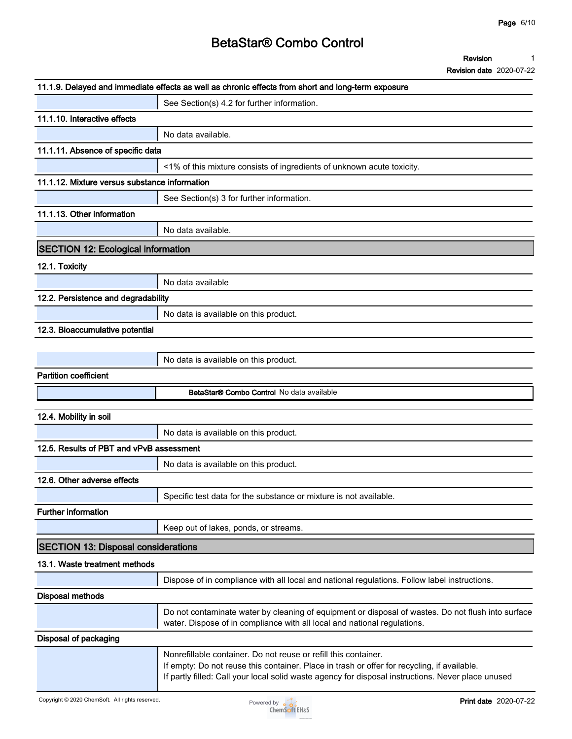**Revision 1**

|                                               | 11.1.9. Delayed and immediate effects as well as chronic effects from short and long-term exposure                                                                                                                                                                   |
|-----------------------------------------------|----------------------------------------------------------------------------------------------------------------------------------------------------------------------------------------------------------------------------------------------------------------------|
|                                               | See Section(s) 4.2 for further information.                                                                                                                                                                                                                          |
| 11.1.10. Interactive effects                  |                                                                                                                                                                                                                                                                      |
|                                               | No data available.                                                                                                                                                                                                                                                   |
| 11.1.11. Absence of specific data             |                                                                                                                                                                                                                                                                      |
|                                               | <1% of this mixture consists of ingredients of unknown acute toxicity.                                                                                                                                                                                               |
| 11.1.12. Mixture versus substance information |                                                                                                                                                                                                                                                                      |
|                                               | See Section(s) 3 for further information.                                                                                                                                                                                                                            |
| 11.1.13. Other information                    |                                                                                                                                                                                                                                                                      |
|                                               | No data available.                                                                                                                                                                                                                                                   |
| <b>SECTION 12: Ecological information</b>     |                                                                                                                                                                                                                                                                      |
| 12.1. Toxicity                                |                                                                                                                                                                                                                                                                      |
|                                               | No data available                                                                                                                                                                                                                                                    |
| 12.2. Persistence and degradability           |                                                                                                                                                                                                                                                                      |
|                                               | No data is available on this product.                                                                                                                                                                                                                                |
| 12.3. Bioaccumulative potential               |                                                                                                                                                                                                                                                                      |
|                                               |                                                                                                                                                                                                                                                                      |
|                                               | No data is available on this product.                                                                                                                                                                                                                                |
| <b>Partition coefficient</b>                  |                                                                                                                                                                                                                                                                      |
|                                               | BetaStar® Combo Control No data available                                                                                                                                                                                                                            |
| 12.4. Mobility in soil                        |                                                                                                                                                                                                                                                                      |
|                                               | No data is available on this product.                                                                                                                                                                                                                                |
| 12.5. Results of PBT and vPvB assessment      |                                                                                                                                                                                                                                                                      |
|                                               | No data is available on this product.                                                                                                                                                                                                                                |
| 12.6. Other adverse effects                   |                                                                                                                                                                                                                                                                      |
|                                               | Specific test data for the substance or mixture is not available.                                                                                                                                                                                                    |
| <b>Further information</b>                    |                                                                                                                                                                                                                                                                      |
|                                               | Keep out of lakes, ponds, or streams.                                                                                                                                                                                                                                |
|                                               |                                                                                                                                                                                                                                                                      |
| <b>SECTION 13: Disposal considerations</b>    |                                                                                                                                                                                                                                                                      |
| 13.1. Waste treatment methods                 |                                                                                                                                                                                                                                                                      |
|                                               | Dispose of in compliance with all local and national regulations. Follow label instructions.                                                                                                                                                                         |
| <b>Disposal methods</b>                       |                                                                                                                                                                                                                                                                      |
|                                               | Do not contaminate water by cleaning of equipment or disposal of wastes. Do not flush into surface<br>water. Dispose of in compliance with all local and national regulations.                                                                                       |
| Disposal of packaging                         |                                                                                                                                                                                                                                                                      |
|                                               | Nonrefillable container. Do not reuse or refill this container.<br>If empty: Do not reuse this container. Place in trash or offer for recycling, if available.<br>If partly filled: Call your local solid waste agency for disposal instructions. Never place unused |

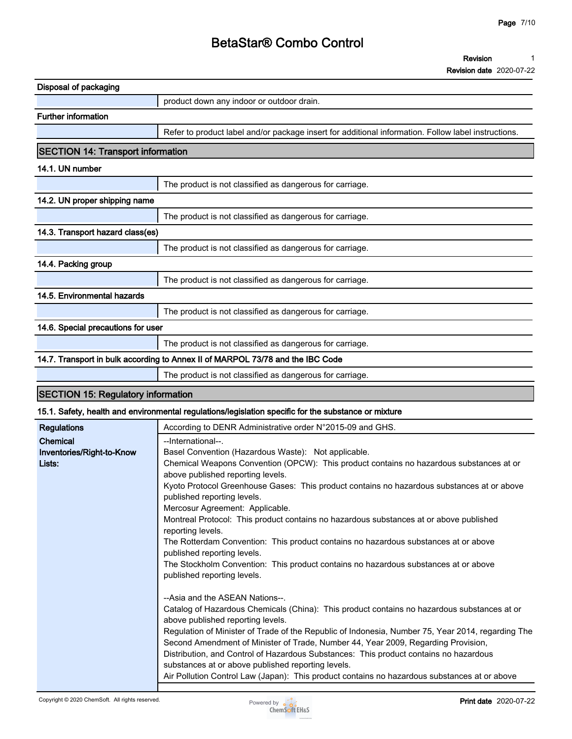**Revision 1**

**Revision date 2020-07-22**

| Disposal of packaging                     |                                                                                                      |
|-------------------------------------------|------------------------------------------------------------------------------------------------------|
|                                           | product down any indoor or outdoor drain.                                                            |
| <b>Further information</b>                |                                                                                                      |
|                                           | Refer to product label and/or package insert for additional information. Follow label instructions.  |
| <b>SECTION 14: Transport information</b>  |                                                                                                      |
| 14.1. UN number                           |                                                                                                      |
|                                           | The product is not classified as dangerous for carriage.                                             |
| 14.2. UN proper shipping name             |                                                                                                      |
|                                           | The product is not classified as dangerous for carriage.                                             |
| 14.3. Transport hazard class(es)          |                                                                                                      |
|                                           | The product is not classified as dangerous for carriage.                                             |
| 14.4. Packing group                       |                                                                                                      |
|                                           | The product is not classified as dangerous for carriage.                                             |
| 14.5. Environmental hazards               |                                                                                                      |
|                                           | The product is not classified as dangerous for carriage.                                             |
| 14.6. Special precautions for user        |                                                                                                      |
|                                           | The product is not classified as dangerous for carriage.                                             |
|                                           | 14.7. Transport in bulk according to Annex II of MARPOL 73/78 and the IBC Code                       |
|                                           | The product is not classified as dangerous for carriage.                                             |
| <b>SECTION 15: Regulatory information</b> |                                                                                                      |
|                                           | 15.1. Safety, health and environmental regulations/legislation specific for the substance or mixture |

|                           | 10.1. Salety, Health and environmental regulations/legislation specific for the substance of mixture |
|---------------------------|------------------------------------------------------------------------------------------------------|
| <b>Regulations</b>        | According to DENR Administrative order N°2015-09 and GHS.                                            |
| Chemical                  | --International--.                                                                                   |
| Inventories/Right-to-Know | Basel Convention (Hazardous Waste): Not applicable.                                                  |
| Lists:                    | Chemical Weapons Convention (OPCW): This product contains no hazardous substances at or              |
|                           | above published reporting levels.                                                                    |
|                           | Kyoto Protocol Greenhouse Gases: This product contains no hazardous substances at or above           |
|                           | published reporting levels.                                                                          |
|                           | Mercosur Agreement: Applicable.                                                                      |
|                           | Montreal Protocol: This product contains no hazardous substances at or above published               |
|                           | reporting levels.                                                                                    |
|                           | The Rotterdam Convention: This product contains no hazardous substances at or above                  |
|                           | published reporting levels.                                                                          |
|                           | The Stockholm Convention: This product contains no hazardous substances at or above                  |
|                           | published reporting levels.                                                                          |
|                           |                                                                                                      |
|                           | --Asia and the ASEAN Nations--.                                                                      |
|                           | Catalog of Hazardous Chemicals (China): This product contains no hazardous substances at or          |
|                           | above published reporting levels.                                                                    |
|                           | Regulation of Minister of Trade of the Republic of Indonesia, Number 75, Year 2014, regarding The    |
|                           | Second Amendment of Minister of Trade, Number 44, Year 2009, Regarding Provision,                    |
|                           | Distribution, and Control of Hazardous Substances: This product contains no hazardous                |



**Air Pollution Control Law (Japan): This product contains no hazardous substances at or above** 

**substances at or above published reporting levels.**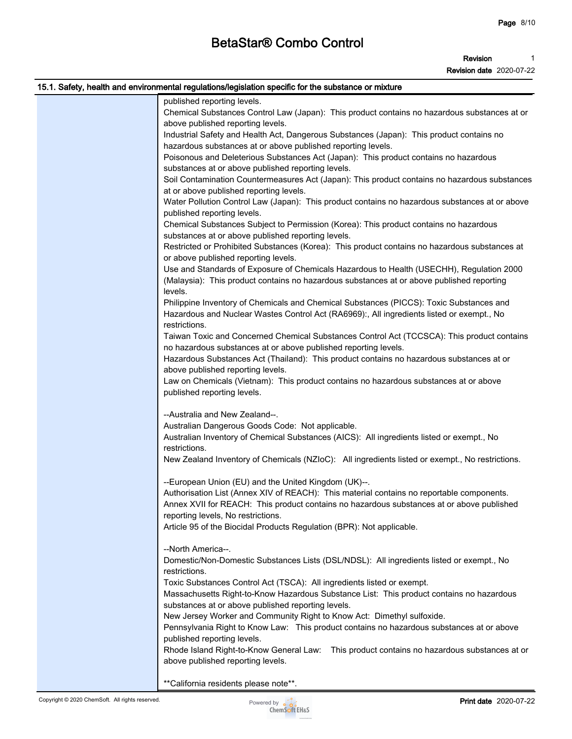#### **Revision 1**

| 15.1. Safety, health and environmental regulations/legislation specific for the substance or mixture |
|------------------------------------------------------------------------------------------------------|
| published reporting levels.                                                                          |
| Chemical Substances Control Law (Japan): This product contains no hazardous substances at or         |
| above published reporting levels.                                                                    |
| Industrial Safety and Health Act, Dangerous Substances (Japan): This product contains no             |
| hazardous substances at or above published reporting levels.                                         |
| Poisonous and Deleterious Substances Act (Japan): This product contains no hazardous                 |
| substances at or above published reporting levels.                                                   |
| Soil Contamination Countermeasures Act (Japan): This product contains no hazardous substances        |
| at or above published reporting levels.                                                              |
| Water Pollution Control Law (Japan): This product contains no hazardous substances at or above       |
| published reporting levels.                                                                          |
| Chemical Substances Subject to Permission (Korea): This product contains no hazardous                |
| substances at or above published reporting levels.                                                   |
| Restricted or Prohibited Substances (Korea): This product contains no hazardous substances at        |
| or above published reporting levels.                                                                 |
| Use and Standards of Exposure of Chemicals Hazardous to Health (USECHH), Regulation 2000             |
| (Malaysia): This product contains no hazardous substances at or above published reporting            |
| levels.                                                                                              |
| Philippine Inventory of Chemicals and Chemical Substances (PICCS): Toxic Substances and              |
| Hazardous and Nuclear Wastes Control Act (RA6969):, All ingredients listed or exempt., No            |
| restrictions.                                                                                        |
| Taiwan Toxic and Concerned Chemical Substances Control Act (TCCSCA): This product contains           |
| no hazardous substances at or above published reporting levels.                                      |
| Hazardous Substances Act (Thailand): This product contains no hazardous substances at or             |
| above published reporting levels.                                                                    |
| Law on Chemicals (Vietnam): This product contains no hazardous substances at or above                |
| published reporting levels.                                                                          |
| --Australia and New Zealand--.                                                                       |
| Australian Dangerous Goods Code: Not applicable.                                                     |
| Australian Inventory of Chemical Substances (AICS): All ingredients listed or exempt., No            |
| restrictions.                                                                                        |
| New Zealand Inventory of Chemicals (NZIoC): All ingredients listed or exempt., No restrictions.      |
|                                                                                                      |
| --European Union (EU) and the United Kingdom (UK)--.                                                 |
| Authorisation List (Annex XIV of REACH): This material contains no reportable components.            |
| Annex XVII for REACH: This product contains no hazardous substances at or above published            |
| reporting levels, No restrictions.                                                                   |
| Article 95 of the Biocidal Products Regulation (BPR): Not applicable.                                |
| --North America--.                                                                                   |
|                                                                                                      |
| Domestic/Non-Domestic Substances Lists (DSL/NDSL): All ingredients listed or exempt., No             |
| restrictions.                                                                                        |
| Toxic Substances Control Act (TSCA): All ingredients listed or exempt.                               |
| Massachusetts Right-to-Know Hazardous Substance List: This product contains no hazardous             |
| substances at or above published reporting levels.                                                   |
| New Jersey Worker and Community Right to Know Act: Dimethyl sulfoxide.                               |
| Pennsylvania Right to Know Law: This product contains no hazardous substances at or above            |
| published reporting levels.                                                                          |
| Rhode Island Right-to-Know General Law: This product contains no hazardous substances at or          |
| above published reporting levels.                                                                    |
| ** California residents please note**.                                                               |
|                                                                                                      |

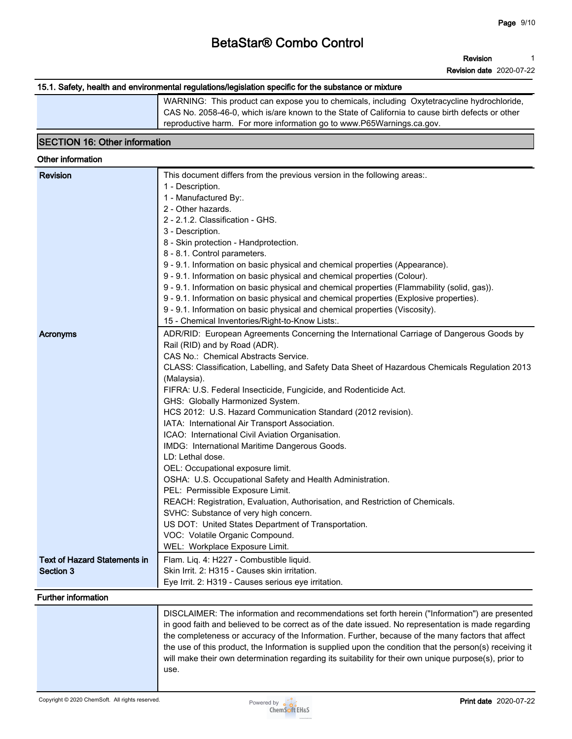**Revision 1**

**Revision date 2020-07-22**

#### **15.1. Safety, health and environmental regulations/legislation specific for the substance or mixture**

**WARNING: This product can expose you to chemicals, including Oxytetracycline hydrochloride, CAS No. 2058-46-0, which is/are known to the State of California to cause birth defects or other reproductive harm. For more information go to www.P65Warnings.ca.gov.**

#### **SECTION 16: Other information**

#### **Other information Revision This document differs from the previous version in the following areas:. 1 - Description. 1 - Manufactured By:. 2 - Other hazards. 2 - 2.1.2. Classification - GHS. 3 - Description. 8 - Skin protection - Handprotection. 8 - 8.1. Control parameters. 9 - 9.1. Information on basic physical and chemical properties (Appearance). 9 - 9.1. Information on basic physical and chemical properties (Colour). 9 - 9.1. Information on basic physical and chemical properties (Flammability (solid, gas)). 9 - 9.1. Information on basic physical and chemical properties (Explosive properties). 9 - 9.1. Information on basic physical and chemical properties (Viscosity). 15 - Chemical Inventories/Right-to-Know Lists:. Acronyms ADR/RID:** European Agreements Concerning the International Carriage of Dangerous Goods by **Rail (RID) and by Road (ADR). CAS No.: Chemical Abstracts Service. CLASS: Classification, Labelling, and Safety Data Sheet of Hazardous Chemicals Regulation 2013 (Malaysia). FIFRA: U.S. Federal Insecticide, Fungicide, and Rodenticide Act. GHS: Globally Harmonized System. HCS 2012: U.S. Hazard Communication Standard (2012 revision). IATA: International Air Transport Association. ICAO: International Civil Aviation Organisation. IMDG: International Maritime Dangerous Goods. LD: Lethal dose. OEL: Occupational exposure limit. OSHA: U.S. Occupational Safety and Health Administration. PEL: Permissible Exposure Limit. REACH: Registration, Evaluation, Authorisation, and Restriction of Chemicals. SVHC: Substance of very high concern. US DOT: United States Department of Transportation. VOC: Volatile Organic Compound. WEL: Workplace Exposure Limit. Text of Hazard Statements in Section 3 Flam. Liq. 4: H227 - Combustible liquid. Skin Irrit. 2: H315 - Causes skin irritation. Eye Irrit. 2: H319 - Causes serious eye irritation. Further information DISCLAIMER: The information and recommendations set forth herein ("Information") are presented in good faith and believed to be correct as of the date issued. No representation is made regarding the completeness or accuracy of the Information. Further, because of the many factors that affect the use of this product, the Information is supplied upon the condition that the person(s) receiving it will make their own determination regarding its suitability for their own unique purpose(s), prior to use.**